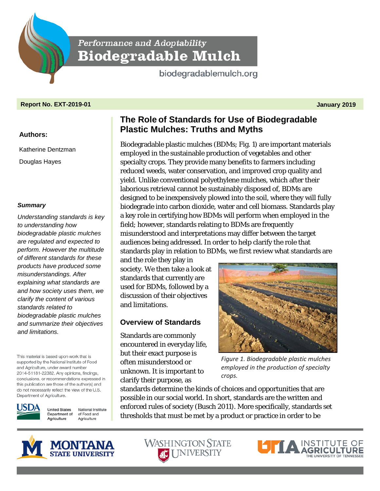Performance and Adoptability **Biodegradable Mulch** 

biodegradablemulch.org

# **Report No. EXT-2019-01 January 2019**

# **Authors:**

Katherine Dentzman Douglas Hayes

## *Summary*

*Understanding standards is key to understanding how biodegradable plastic mulches are regulated and expected to perform. However the multitude of different standards for these products have produced some misunderstandings. After explaining what standards are and how society uses them, we clarify the content of various standards related to biodegradable plastic mulches and summarize their objectives and limitations.*

This material is based upon work that is supported by the National Institute of Food and Agriculture, under award number 2014-51181-22382. Any opinions, findings, conclusions, or recommendations expressed in this publication are those of the author(s) and do not necessarily reflect the view of the U.S. Department of Agriculture.



**United States** National Institute Department of of Food and Agriculture Agriculture

# **The Role of Standards for Use of Biodegradable Plastic Mulches: Truths and Myths**

Biodegradable plastic mulches (BDMs; Fig. 1) are important materials employed in the sustainable production of vegetables and other specialty crops. They provide many benefits to farmers including reduced weeds, water conservation, and improved crop quality and yield. Unlike conventional polyethylene mulches, which after their laborious retrieval cannot be sustainably disposed of, BDMs are designed to be inexpensively plowed into the soil, where they will fully biodegrade into carbon dioxide, water and cell biomass. Standards play a key role in certifying how BDMs will perform when employed in the field; however, standards relating to BDMs are frequently misunderstood and interpretations may differ between the target audiences being addressed. In order to help clarify the role that standards play in relation to BDMs, we first review what standards are

and the role they play in society. We then take a look at standards that currently are used for BDMs, followed by a discussion of their objectives and limitations.

# **Overview of Standards**

Standards are commonly encountered in everyday life, but their exact purpose is often misunderstood or unknown. It is important to clarify their purpose, as



*Figure 1. Biodegradable plastic mulches employed in the production of specialty crops.*

standards determine the kinds of choices and opportunities that are possible in our social world. In short, standards are the written and enforced rules of society (Busch 2011). More specifically, standards set thresholds that must be met by a product or practice in order to be



**WASHINGTON STATE AC UNIVERSITY** 

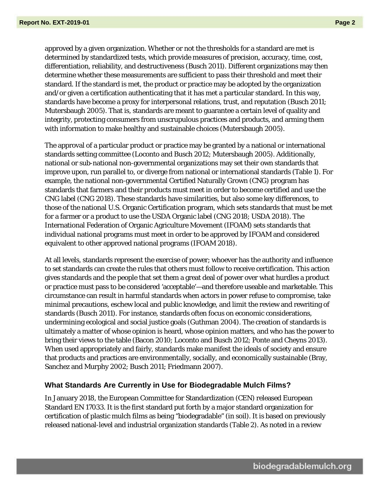approved by a given organization. Whether or not the thresholds for a standard are met is determined by standardized tests, which provide measures of precision, accuracy, time, cost, differentiation, reliability, and destructiveness (Busch 2011). Different organizations may then determine whether these measurements are sufficient to pass their threshold and meet their standard. If the standard is met, the product or practice may be adopted by the organization and/or given a certification authenticating that it has met a particular standard. In this way, standards have become a proxy for interpersonal relations, trust, and reputation (Busch 2011; Mutersbaugh 2005). That is, standards are meant to guarantee a certain level of quality and integrity, protecting consumers from unscrupulous practices and products, and arming them with information to make healthy and sustainable choices (Mutersbaugh 2005).

The approval of a particular product or practice may be granted by a national or international standards setting committee (Loconto and Busch 2012; Mutersbaugh 2005). Additionally, national or sub-national non-governmental organizations may set their own standards that improve upon, run parallel to, or diverge from national or international standards (Table 1). For example, the national non-governmental Certified Naturally Grown (CNG) program has standards that farmers and their products must meet in order to become certified and use the CNG label (CNG 2018). These standards have similarities, but also some key differences, to those of the national U.S. Organic Certification program, which sets standards that must be met for a farmer or a product to use the USDA Organic label (CNG 2018; USDA 2018). The International Federation of Organic Agriculture Movement (IFOAM) sets standards that individual national programs must meet in order to be approved by IFOAM and considered equivalent to other approved national programs (IFOAM 2018).

At all levels, standards represent the exercise of power; whoever has the authority and influence to set standards can create the rules that others must follow to receive certification. This action gives standards and the people that set them a great deal of power over what hurdles a product or practice must pass to be considered 'acceptable'—and therefore useable and marketable. This circumstance can result in harmful standards when actors in power refuse to compromise, take minimal precautions, eschew local and public knowledge, and limit the review and rewriting of standards (Busch 2011). For instance, standards often focus on economic considerations, undermining ecological and social justice goals (Guthman 2004). The creation of standards is ultimately a matter of whose opinion is heard, whose opinion matters, and who has the power to bring their views to the table (Bacon 2010; Loconto and Busch 2012; Ponte and Cheyns 2013). When used appropriately and fairly, standards make manifest the ideals of society and ensure that products and practices are environmentally, socially, and economically sustainable (Bray, Sanchez and Murphy 2002; Busch 2011; Friedmann 2007).

#### **What Standards Are Currently in Use for Biodegradable Mulch Films?**

In January 2018, the European Committee for Standardization (CEN) released European Standard EN 17033. It is the first standard put forth by a major standard organization for certification of plastic mulch films as being "biodegradable" (in soil). It is based on previously released national-level and industrial organization standards (Table 2). As noted in a review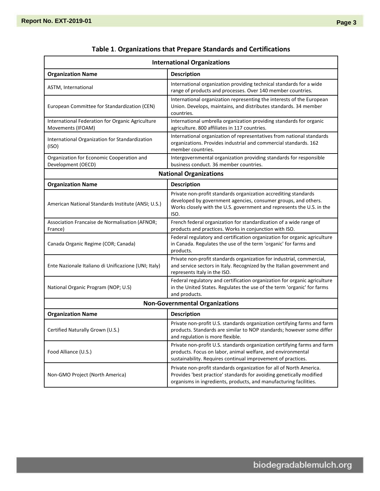| <b>International Organizations</b>                                    |                                                                                                                                                                                                                    |  |  |
|-----------------------------------------------------------------------|--------------------------------------------------------------------------------------------------------------------------------------------------------------------------------------------------------------------|--|--|
| <b>Organization Name</b>                                              | <b>Description</b>                                                                                                                                                                                                 |  |  |
| ASTM, International                                                   | International organization providing technical standards for a wide<br>range of products and processes. Over 140 member countries.                                                                                 |  |  |
| European Committee for Standardization (CEN)                          | International organization representing the interests of the European<br>Union. Develops, maintains, and distributes standards. 34 member<br>countries.                                                            |  |  |
| International Federation for Organic Agriculture<br>Movements (IFOAM) | International umbrella organization providing standards for organic<br>agriculture. 800 affiliates in 117 countries.                                                                                               |  |  |
| International Organization for Standardization<br>(ISO)               | International organization of representatives from national standards<br>organizations. Provides industrial and commercial standards. 162<br>member countries.                                                     |  |  |
| Organization for Economic Cooperation and<br>Development (OECD)       | Intergovernmental organization providing standards for responsible<br>business conduct. 36 member countries.                                                                                                       |  |  |
| <b>National Organizations</b>                                         |                                                                                                                                                                                                                    |  |  |
| <b>Organization Name</b>                                              | <b>Description</b>                                                                                                                                                                                                 |  |  |
| American National Standards Institute (ANSI; U.S.)                    | Private non-profit standards organization accrediting standards<br>developed by government agencies, consumer groups, and others.<br>Works closely with the U.S. government and represents the U.S. in the<br>ISO. |  |  |
| Association Francaise de Normalisation (AFNOR;<br>France)             | French federal organization for standardization of a wide range of<br>products and practices. Works in conjunction with ISO.                                                                                       |  |  |
| Canada Organic Regime (COR; Canada)                                   | Federal regulatory and certification organization for organic agriculture<br>in Canada. Regulates the use of the term 'organic' for farms and<br>products.                                                         |  |  |
| Ente Nazionale Italiano di Unificazione (UNI; Italy)                  | Private non-profit standards organization for industrial, commercial,<br>and service sectors in Italy. Recognized by the Italian government and<br>represents Italy in the ISO.                                    |  |  |
| National Organic Program (NOP; U.S)                                   | Federal regulatory and certification organization for organic agriculture<br>in the United States. Regulates the use of the term 'organic' for farms<br>and products.                                              |  |  |
| <b>Non-Governmental Organizations</b>                                 |                                                                                                                                                                                                                    |  |  |
| <b>Organization Name</b>                                              | <b>Description</b>                                                                                                                                                                                                 |  |  |
| Certified Naturally Grown (U.S.)                                      | Private non-profit U.S. standards organization certifying farms and farm<br>products. Standards are similar to NOP standards; however some differ<br>and regulation is more flexible.                              |  |  |
| Food Alliance (U.S.)                                                  | Private non-profit U.S. standards organization certifying farms and farm<br>products. Focus on labor, animal welfare, and environmental<br>sustainability. Requires continual improvement of practices.            |  |  |
| Non-GMO Project (North America)                                       | Private non-profit standards organization for all of North America.<br>Provides 'best practice' standards for avoiding genetically modified<br>organisms in ingredients, products, and manufacturing facilities.   |  |  |

# **Table 1**. **Organizations that Prepare Standards and Certifications**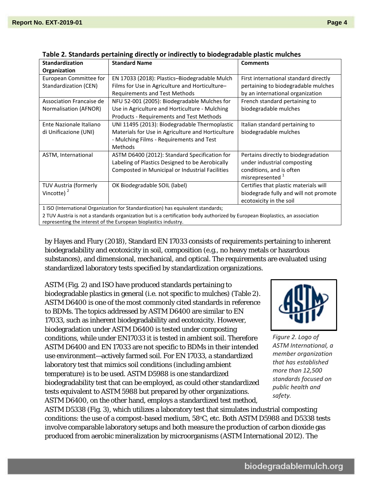| <b>Standardization</b>                                                           | <b>Standard Name</b>                              | <b>Comments</b>                       |  |
|----------------------------------------------------------------------------------|---------------------------------------------------|---------------------------------------|--|
| Organization                                                                     |                                                   |                                       |  |
| European Committee for                                                           | EN 17033 (2018): Plastics-Biodegradable Mulch     | First international standard directly |  |
| Standardization (CEN)                                                            | Films for Use in Agriculture and Horticulture-    | pertaining to biodegradable mulches   |  |
|                                                                                  | Requirements and Test Methods                     | by an international organization      |  |
| Association Francaise de                                                         | NFU 52-001 (2005): Biodegradable Mulches for      | French standard pertaining to         |  |
| Normalisation (AFNOR)                                                            | Use in Agriculture and Horticulture - Mulching    | biodegradable mulches                 |  |
|                                                                                  | <b>Products - Requirements and Test Methods</b>   |                                       |  |
| Ente Nazionale Italiano                                                          | UNI 11495 (2013): Biodegradable Thermoplastic     | Italian standard pertaining to        |  |
| di Unificazione (UNI)                                                            | Materials for Use in Agriculture and Horticulture | biodegradable mulches                 |  |
|                                                                                  | - Mulching Films - Requirements and Test          |                                       |  |
|                                                                                  | <b>Methods</b>                                    |                                       |  |
| ASTM, International                                                              | ASTM D6400 (2012): Standard Specification for     | Pertains directly to biodegradation   |  |
|                                                                                  | Labeling of Plastics Designed to be Aerobically   | under industrial composting           |  |
|                                                                                  | Composted in Municipal or Industrial Facilities   | conditions, and is often              |  |
|                                                                                  |                                                   | misrepresented <sup>1</sup>           |  |
| <b>TUV Austria (formerly</b>                                                     | OK Biodegradable SOIL (label)                     | Certifies that plastic materials will |  |
| Vincotte) $2$                                                                    |                                                   | biodegrade fully and will not promote |  |
|                                                                                  |                                                   | ecotoxicity in the soil               |  |
| 1 ISO (International Organization for Standardization) has equivalent standards: |                                                   |                                       |  |

1 ISO (International Organization for Standardization) has equivalent standards;

2 TUV Austria is not a standards organization but is a certification body authorized by European Bioplastics, an association representing the interest of the European bioplastics industry.

by Hayes and Flury (2018), Standard EN 17033 consists of requirements pertaining to inherent biodegradability and ecotoxicity in soil, composition (e.g., no heavy metals or hazardous substances), and dimensional, mechanical, and optical. The requirements are evaluated using standardized laboratory tests specified by standardization organizations.

ASTM (Fig. 2) and ISO have produced standards pertaining to biodegradable plastics in general (i.e. not specific to mulches) (Table 2). ASTM D6400 is one of the most commonly cited standards in reference to BDMs. The topics addressed by ASTM D6400 are similar to EN 17033, such as inherent biodegradability and ecotoxicity. However, biodegradation under ASTM D6400 is tested under composting conditions, while under EN17033 it is tested in ambient soil. Therefore ASTM D6400 and EN 17033 are not specific to BDMs in their intended use environment—actively farmed soil. For EN 17033, a standardized laboratory test that mimics soil conditions (including ambient temperature) is to be used. ASTM D5988 is one standardized biodegradability test that can be employed, as could other standardized tests equivalent to ASTM 5988 but prepared by other organizations. ASTM D6400, on the other hand, employs a standardized test method,



*Figure 2. Logo of ASTM International, a member organization that has established more than 12,500 standards focused on public health and safety.* 

ASTM D5338 (Fig. 3), which utilizes a laboratory test that simulates industrial composting conditions: the use of a compost-based medium, 58°C, etc. Both ASTM D5988 and D5338 tests involve comparable laboratory setups and both measure the production of carbon dioxide gas produced from aerobic mineralization by microorganisms (ASTM International 2012). The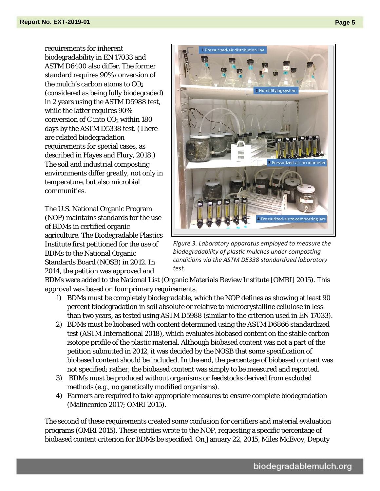requirements for inherent biodegradability in EN 17033 and ASTM D6400 also differ. The former standard requires 90% conversion of the mulch's carbon atoms to  $CO<sub>2</sub>$ (considered as being fully biodegraded) in 2 years using the ASTM D5988 test, while the latter requires 90% conversion of C into  $CO<sub>2</sub>$  within 180 days by the ASTM D5338 test. (There are related biodegradation requirements for special cases, as described in Hayes and Flury, 2018.) The soil and industrial composting environments differ greatly, not only in temperature, but also microbial communities.

The U.S. National Organic Program (NOP) maintains standards for the use of BDMs in certified organic agriculture. The Biodegradable Plastics Institute first petitioned for the use of BDMs to the National Organic Standards Board (NOSB) in 2012. In 2014, the petition was approved and



*Figure 3. Laboratory apparatus employed to measure the biodegradability of plastic mulches under composting conditions via the ASTM D5338 standardized laboratory test.*

BDMs were added to the National List (Organic Materials Review Institute [OMRI] 2015). This approval was based on four primary requirements.

- 1) BDMs must be completely biodegradable, which the NOP defines as showing at least 90 percent biodegradation in soil absolute or relative to microcrystalline cellulose in less than two years, as tested using ASTM D5988 (similar to the criterion used in EN 17033).
- 2) BDMs must be biobased with content determined using the ASTM D6866 standardized test (ASTM International 2018), which evaluates biobased content on the stable carbon isotope profile of the plastic material. Although biobased content was not a part of the petition submitted in 2012, it was decided by the NOSB that some specification of biobased content should be included. In the end, the percentage of biobased content was not specified; rather, the biobased content was simply to be measured and reported.
- 3) BDMs must be produced without organisms or feedstocks derived from excluded methods (e.g., no genetically modified organisms).
- 4) Farmers are required to take appropriate measures to ensure complete biodegradation (Malinconico 2017; OMRI 2015).

The second of these requirements created some confusion for certifiers and material evaluation programs (OMRI 2015). These entities wrote to the NOP, requesting a specific percentage of biobased content criterion for BDMs be specified. On January 22, 2015, Miles McEvoy, Deputy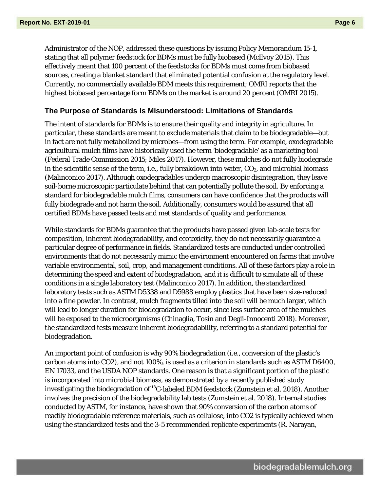Administrator of the NOP, addressed these questions by issuing Policy Memorandum 15-1, stating that all polymer feedstock for BDMs must be fully biobased (McEvoy 2015). This effectively meant that 100 percent of the feedstocks for BDMs must come from biobased sources, creating a blanket standard that eliminated potential confusion at the regulatory level. Currently, no commercially available BDM meets this requirement; OMRI reports that the highest biobased percentage form BDMs on the market is around 20 percent (OMRI 2015).

#### **The Purpose of Standards Is Misunderstood: Limitations of Standards**

The intent of standards for BDMs is to ensure their quality and integrity in agriculture. In particular, these standards are meant to exclude materials that claim to be biodegradable—but in fact are not fully metabolized by microbes—from using the term. For example, oxodegradable agricultural mulch films have historically used the term 'biodegradable' as a marketing tool (Federal Trade Commission 2015; Miles 2017). However, these mulches do not fully biodegrade in the scientific sense of the term, i.e., fully breakdown into water,  $CO<sub>2</sub>$ , and microbial biomass (Malinconico 2017). Although oxodegradables undergo macroscopic disintegration, they leave soil-borne microscopic particulate behind that can potentially pollute the soil. By enforcing a standard for biodegradable mulch films, consumers can have confidence that the products will fully biodegrade and not harm the soil. Additionally, consumers would be assured that all certified BDMs have passed tests and met standards of quality and performance.

While standards for BDMs guarantee that the products have passed given lab-scale tests for composition, inherent biodegradability, and ecotoxicity, they do not necessarily guarantee a particular degree of performance in fields. Standardized tests are conducted under controlled environments that do not necessarily mimic the environment encountered on farms that involve variable environmental, soil, crop, and management conditions. All of these factors play a role in determining the speed and extent of biodegradation, and it is difficult to simulate all of these conditions in a single laboratory test (Malinconico 2017). In addition, the standardized laboratory tests such as ASTM D5338 and D5988 employ plastics that have been size-reduced into a fine powder. In contrast, mulch fragments tilled into the soil will be much larger, which will lead to longer duration for biodegradation to occur, since less surface area of the mulches will be exposed to the microorganisms (Chinaglia, Tosin and Degli-Innocenti 2018). Moreover, the standardized tests measure inherent biodegradability, referring to a standard potential for biodegradation.

An important point of confusion is why 90% biodegradation (i.e., conversion of the plastic's carbon atoms into CO2), and not 100%, is used as a criterion in standards such as ASTM D6400, EN 17033, and the USDA NOP standards. One reason is that a significant portion of the plastic is incorporated into microbial biomass, as demonstrated by a recently published study investigating the biodegradation of **<sup>13</sup>**C-labeled BDM feedstock (Zumstein et al. 2018). Another involves the precision of the biodegradability lab tests (Zumstein et al. 2018). Internal studies conducted by ASTM, for instance, have shown that 90% conversion of the carbon atoms of readily biodegradable reference materials, such as cellulose, into CO2 is typically achieved when using the standardized tests and the 3-5 recommended replicate experiments (R. Narayan,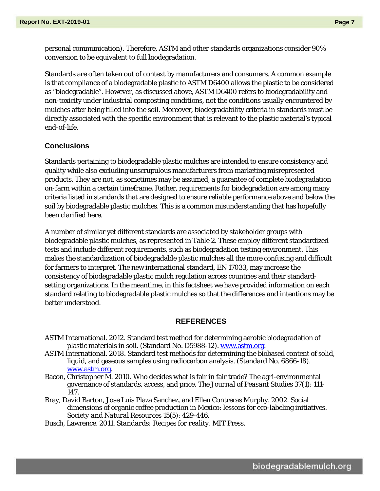personal communication). Therefore, ASTM and other standards organizations consider 90% conversion to be equivalent to full biodegradation.

Standards are often taken out of context by manufacturers and consumers. A common example is that compliance of a biodegradable plastic to ASTM D6400 allows the plastic to be considered as "biodegradable". However, as discussed above, ASTM D6400 refers to biodegradability and non-toxicity under industrial composting conditions, not the conditions usually encountered by mulches after being tilled into the soil. Moreover, biodegradability criteria in standards must be directly associated with the specific environment that is relevant to the plastic material's typical end-of-life.

## **Conclusions**

Standards pertaining to biodegradable plastic mulches are intended to ensure consistency and quality while also excluding unscrupulous manufacturers from marketing misrepresented products. They are not, as sometimes may be assumed, a guarantee of complete biodegradation on-farm within a certain timeframe. Rather, requirements for biodegradation are among many criteria listed in standards that are designed to ensure reliable performance above and below the soil by biodegradable plastic mulches. This is a common misunderstanding that has hopefully been clarified here.

A number of similar yet different standards are associated by stakeholder groups with biodegradable plastic mulches, as represented in Table 2. These employ different standardized tests and include different requirements, such as biodegradation testing environment. This makes the standardization of biodegradable plastic mulches all the more confusing and difficult for farmers to interpret. The new international standard, EN 17033, may increase the consistency of biodegradable plastic mulch regulation across countries and their standardsetting organizations. In the meantime, in this factsheet we have provided information on each standard relating to biodegradable plastic mulches so that the differences and intentions may be better understood.

#### **REFERENCES**

- ASTM International. 2012. Standard test method for determining aerobic biodegradation of plastic materials in soil. (Standard No. D5988-12). [www.astm.org.](http://www.astm.org/)
- ASTM International. 2018. Standard test methods for determining the biobased content of solid, liquid, and gaseous samples using radiocarbon analysis. (Standard No. 6866-18). [www.astm.org.](http://www.astm.org/)
- Bacon, Christopher M. 2010. Who decides what is fair in fair trade? The agri-environmental governance of standards, access, and price. *The Journal of Peasant Studies* 37(1): 111- 147.
- Bray, David Barton, Jose Luis Plaza Sanchez, and Ellen Contreras Murphy. 2002. Social dimensions of organic coffee production in Mexico: lessons for eco-labeling initiatives. *Society and Natural Resources* 15(5): 429-446.
- Busch, Lawrence. 2011. *Standards: Recipes for reality.* MIT Press.